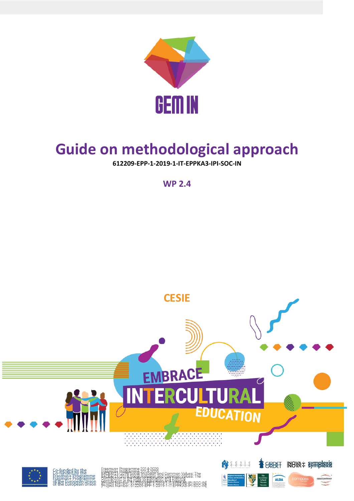

# **Guide on methodological approach**

**612209-EPP-1-2019-1-IT-EPPKA3-IPI-SOC-IN**

**WP 2.4**

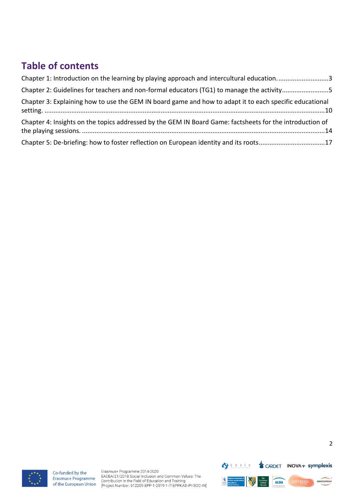### **Table of contents**

| Chapter 1: Introduction on the learning by playing approach and intercultural education3                 |
|----------------------------------------------------------------------------------------------------------|
| Chapter 2: Guidelines for teachers and non-formal educators (TG1) to manage the activity5                |
| Chapter 3: Explaining how to use the GEM IN board game and how to adapt it to each specific educational  |
| Chapter 4: Insights on the topics addressed by the GEM IN Board Game: factsheets for the introduction of |
| Chapter 5: De-briefing: how to foster reflection on European identity and its roots17                    |



Co-funded by the Erasmus+ Programme of the European Union

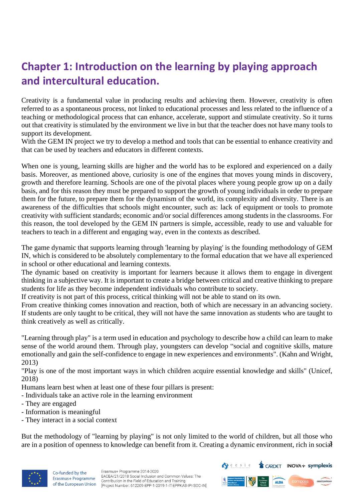### <span id="page-2-0"></span>**Chapter 1: Introduction on the learning by playing approach and intercultural education.**

Creativity is a fundamental value in producing results and achieving them. However, creativity is often referred to as a spontaneous process, not linked to educational processes and less related to the influence of a teaching or methodological process that can enhance, accelerate, support and stimulate creativity. So it turns out that creativity is stimulated by the environment we live in but that the teacher does not have many tools to support its development.

With the GEM IN project we try to develop a method and tools that can be essential to enhance creativity and that can be used by teachers and educators in different contexts.

When one is young, learning skills are higher and the world has to be explored and experienced on a daily basis. Moreover, as mentioned above, curiosity is one of the engines that moves young minds in discovery, growth and therefore learning. Schools are one of the pivotal places where young people grow up on a daily basis, and for this reason they must be prepared to support the growth of young individuals in order to prepare them for the future, to prepare them for the dynamism of the world, its complexity and diversity. There is an awareness of the difficulties that schools might encounter, such as: lack of equipment or tools to promote creativity with sufficient standards; economic and/or social differences among students in the classrooms. For this reason, the tool developed by the GEM IN partners is simple, accessible, ready to use and valuable for teachers to teach in a different and engaging way, even in the contexts as described.

The game dynamic that supports learning through 'learning by playing' is the founding methodology of GEM IN, which is considered to be absolutely complementary to the formal education that we have all experienced in school or other educational and learning contexts.

The dynamic based on creativity is important for learners because it allows them to engage in divergent thinking in a subjective way. It is important to create a bridge between critical and creative thinking to prepare students for life as they become independent individuals who contribute to society.

If creativity is not part of this process, critical thinking will not be able to stand on its own.

From creative thinking comes innovation and reaction, both of which are necessary in an advancing society. If students are only taught to be critical, they will not have the same innovation as students who are taught to think creatively as well as critically.

"Learning through play" is a term used in education and psychology to describe how a child can learn to make sense of the world around them. Through play, youngsters can develop "social and cognitive skills, mature emotionally and gain the self-confidence to engage in new experiences and environments". (Kahn and Wright, 2013)

"Play is one of the most important ways in which children acquire essential knowledge and skills" (Unicef, 2018)

Humans learn best when at least one of these four pillars is present:

- Individuals take an active role in the learning environment
- They are engaged
- Information is meaningful
- They interact in a social context

are in a position of openness to knowledge can benefit from it. Creating a dynamic environment, rich in social But the methodology of "learning by playing" is not only limited to the world of children, but all those who



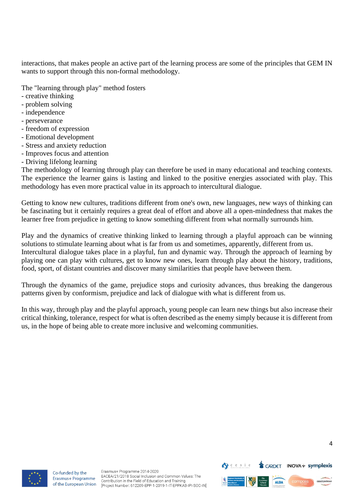interactions, that makes people an active part of the learning process are some of the principles that GEM IN wants to support through this non-formal methodology.

The "learning through play" method fosters

- creative thinking
- problem solving
- independence
- perseverance
- freedom of expression
- Emotional development
- Stress and anxiety reduction
- Improves focus and attention
- Driving lifelong learning

The methodology of learning through play can therefore be used in many educational and teaching contexts. The experience the learner gains is lasting and linked to the positive energies associated with play. This methodology has even more practical value in its approach to intercultural dialogue.

Getting to know new cultures, traditions different from one's own, new languages, new ways of thinking can be fascinating but it certainly requires a great deal of effort and above all a open-mindedness that makes the learner free from prejudice in getting to know something different from what normally surrounds him.

Play and the dynamics of creative thinking linked to learning through a playful approach can be winning solutions to stimulate learning about what is far from us and sometimes, apparently, different from us. Intercultural dialogue takes place in a playful, fun and dynamic way. Through the approach of learning by playing one can play with cultures, get to know new ones, learn through play about the history, traditions, food, sport, of distant countries and discover many similarities that people have between them.

Through the dynamics of the game, prejudice stops and curiosity advances, thus breaking the dangerous patterns given by conformism, prejudice and lack of dialogue with what is different from us.

In this way, through play and the playful approach, young people can learn new things but also increase their critical thinking, tolerance, respect for what is often described as the enemy simply because it is different from us, in the hope of being able to create more inclusive and welcoming communities.



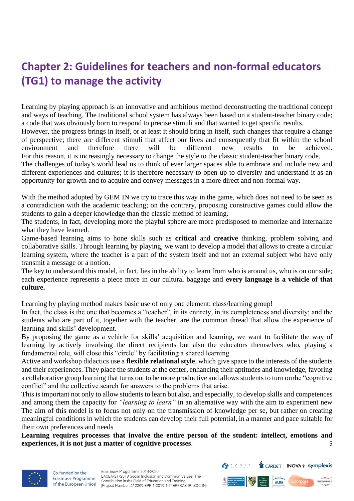## <span id="page-4-0"></span>**Chapter 2: Guidelines for teachers and non-formal educators (TG1) to manage the activity**

Learning by playing approach is an innovative and ambitious method deconstructing the traditional concept and ways of teaching. The traditional school system has always been based on a student-teacher binary code; a code that was obviously born to respond to precise stimuli and that wanted to get specific results.

However, the progress brings in itself, or at least it should bring in itself, such changes that require a change of perspective; there are different stimuli that affect our lives and consequently that fit within the school environment and therefore there will be different new results to be achieved. For this reason, it is increasingly necessary to change the style to the classic student-teacher binary code.

The challenges of today's world lead us to think of ever larger spaces able to embrace and include new and different experiences and cultures; it is therefore necessary to open up to diversity and understand it as an opportunity for growth and to acquire and convey messages in a more direct and non-formal way.

With the method adopted by GEM IN we try to trace this way in the game, which does not need to be seen as a contradiction with the academic teaching; on the contrary, proposing constructive games could allow the students to gain a deeper knowledge than the classic method of learning.

The students, in fact, developing more the playful sphere are more predisposed to memorize and internalize what they have learned.

Game-based learning aims to hone skills such as **critical** and **creative** thinking, problem solving and collaborative skills. Through learning by playing, we want to develop a model that allows to create a circular learning system, where the teacher is a part of the system itself and not an external subject who have only transmit a message or a notion.

The key to understand this model, in fact, lies in the ability to learn from who is around us, who is on our side; each experience represents a piece more in our cultural baggage and **every language is a vehicle of that culture.**

Learning by playing method makes basic use of only one element: class/learning group!

In fact, the class is the one that becomes a "teacher", in its entirety, in its completeness and diversity; and the students who are part of it, together with the teacher, are the common thread that allow the experience of learning and skills' development.

By proposing the game as a vehicle for skills' acquisition and learning, we want to facilitate the way of learning by actively involving the direct recipients but also the educators themselves who, playing a fundamental role, will close this "circle" by facilitating a shared learning.

Active and workshop didactics use a **flexible relational style**, which give space to the interests of the students and their experiences. They place the students at the center, enhancing their aptitudes and knowledge, favoring a collaborative group learning that turns out to be more productive and allows students to turn on the "cognitive conflict" and the collective search for answers to the problems that arise.

This is important not only to allow students to learn but also, and especially, to develop skills and competences and among them the capacity for *"learning to learn"* in an alternative way with the aim to experiment new The aim of this model is to focus not only on the transmission of knowledge per se, but rather on creating meaningful conditions in which the students can develop their full potential, in a manner and pace suitable for their own preferences and needs

5 **Learning requires processes that involve the entire person of the student: intellect, emotions and experiences, it is not just a matter of cognitive processes**.



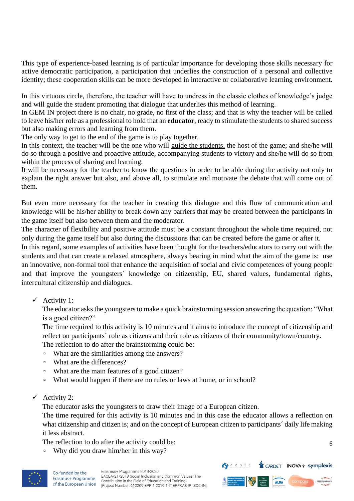This type of experience-based learning is of particular importance for developing those skills necessary for active democratic participation, a participation that underlies the construction of a personal and collective identity; these cooperation skills can be more developed in interactive or collaborative learning environment.

In this virtuous circle, therefore, the teacher will have to undress in the classic clothes of knowledge's judge and will guide the student promoting that dialogue that underlies this method of learning.

In GEM IN project there is no chair, no grade, no first of the class; and that is why the teacher will be called to leave his/her role as a professional to hold that an **educator**, ready to stimulate the students to shared success but also making errors and learning from them.

The only way to get to the end of the game is to play together.

In this context, the teacher will be the one who will guide the students, the host of the game; and she/he will do so through a positive and proactive attitude, accompanying students to victory and she/he will do so from within the process of sharing and learning.

It will be necessary for the teacher to know the questions in order to be able during the activity not only to explain the right answer but also, and above all, to stimulate and motivate the debate that will come out of them.

But even more necessary for the teacher in creating this dialogue and this flow of communication and knowledge will be his/her ability to break down any barriers that may be created between the participants in the game itself but also between them and the moderator.

The character of flexibility and positive attitude must be a constant throughout the whole time required, not only during the game itself but also during the discussions that can be created before the game or after it.

In this regard, some examples of activities have been thought for the teachers/educators to carry out with the students and that can create a relaxed atmosphere, always bearing in mind what the aim of the game is: use an innovative, non-formal tool that enhance the acquisition of social and civic competences of young people and that improve the youngsters´ knowledge on citizenship, EU, shared values, fundamental rights, intercultural citizenship and dialogues.

#### ✓ Activity 1:

The educator asks the youngsters to make a quick brainstorming session answering the question: "What is a good citizen?"

The time required to this activity is 10 minutes and it aims to introduce the concept of citizenship and reflect on participants´ role as citizens and their role as citizens of their community/town/country.

The reflection to do after the brainstorming could be:

- What are the similarities among the answers?
- What are the differences?
- What are the main features of a good citizen?
- What would happen if there are no rules or laws at home, or in school?
- $\checkmark$  Activity 2:

The educator asks the youngsters to draw their image of a European citizen.

The time required for this activity is 10 minutes and in this case the educator allows a reflection on what citizenship and citizen is; and on the concept of European citizen to participants' daily life making it less abstract.

The reflection to do after the activity could be:

▫ Why did you draw him/her in this way?



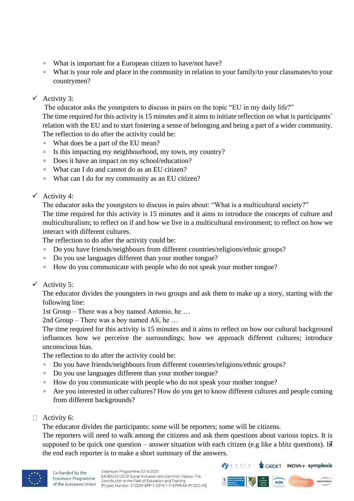- What is important for a European citizen to have/not have?
- What is your role and place in the community in relation to your family/to your classmates/to your countrymen?

#### $\checkmark$  Activity 3:

The educator asks the youngsters to discuss in pairs on the topic "EU in my daily life?"

The time required for this activity is 15 minutes and it aims to initiate reflection on what is participants´ relation with the EU and to start fostering a sense of belonging and being a part of a wider community. The reflection to do after the activity could be:

- What does be a part of the EU mean?
- Is this impacting my neighbourhood, my town, my country?
- Does it have an impact on my school/education?
- What can I do and cannot do as an EU citizen?
- What can I do for my community as an EU citizen?
- $\checkmark$  Activity 4:

The educator asks the youngsters to discuss in pairs about: "What is a multicultural society?" The time required for this activity is 15 minutes and it aims to introduce the concepts of culture and multiculturalism; to reflect on if and how we live in a multicultural environment; to reflect on how we interact with different cultures.

The reflection to do after the activity could be:

- □ Do you have friends/neighbours from different countries/religions/ethnic groups?
- Do you use languages different than your mother tongue?
- How do you communicate with people who do not speak your mother tongue?
- $\checkmark$  Activity 5:

The educator divides the youngsters in two groups and ask them to make up a story, starting with the following line:

1st Group – There was a boy named Antonio, he …

2nd Group – There was a boy named Ali, he …

The time required for this activity is 15 minutes and it aims to reflect on how our cultural background influences how we perceive the surroundings; how we approach different cultures; introduce unconscious bias.

The reflection to do after the activity could be:

- □ Do you have friends/neighbours from different countries/religions/ethnic groups?
- Do you use languages different than your mother tongue?
- How do you communicate with people who do not speak your mother tongue?
- Are you interested in other cultures? How do you get to know different cultures and people coming from different backgrounds?
- $\Box$  Activity 6:

The educator divides the participants: some will be reporters; some will be citizens.

supposed to be quick one question – answer situation with each citizen (e.g like a blitz questions). In The reporters will need to walk among the citizens and ask them questions about various topics. It is the end each reporter is to make a short summary of the answers.



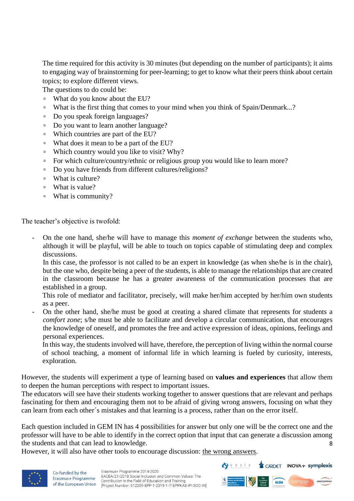The time required for this activity is 30 minutes (but depending on the number of participants); it aims to engaging way of brainstorming for peer-learning; to get to know what their peers think about certain topics; to explore different views.

The questions to do could be:

- What do you know about the EU?
- What is the first thing that comes to your mind when you think of Spain/Denmark...?
- Do you speak foreign languages?
- Do you want to learn another language?
- Which countries are part of the EU?
- What does it mean to be a part of the EU?
- Which country would you like to visit? Why?
- For which culture/country/ethnic or religious group you would like to learn more?
- Do you have friends from different cultures/religions?
- What is culture?
- What is value?
- What is community?

The teacher's objective is twofold:

- On the one hand, she/he will have to manage this *moment of exchange* between the students who, although it will be playful, will be able to touch on topics capable of stimulating deep and complex discussions.

In this case, the professor is not called to be an expert in knowledge (as when she/he is in the chair), but the one who, despite being a peer of the students, is able to manage the relationships that are created in the classroom because he has a greater awareness of the communication processes that are established in a group.

This role of mediator and facilitator, precisely, will make her/him accepted by her/him own students as a peer.

- On the other hand, she/he must be good at creating a shared climate that represents for students a *comfort zone*; s/he must be able to facilitate and develop a circular communication, that encourages the knowledge of oneself, and promotes the free and active expression of ideas, opinions, feelings and personal experiences.

In this way, the students involved will have, therefore, the perception of living within the normal course of school teaching, a moment of informal life in which learning is fueled by curiosity, interests, exploration.

However, the students will experiment a type of learning based on **values and experiences** that allow them to deepen the human perceptions with respect to important issues.

The educators will see have their students working together to answer questions that are relevant and perhaps fascinating for them and encouraging them not to be afraid of giving wrong answers, focusing on what they can learn from each other´s mistakes and that learning is a process, rather than on the error itself.

8 Each question included in GEM IN has 4 possibilities for answer but only one will be the correct one and the professor will have to be able to identify in the correct option that input that can generate a discussion among the students and that can lead to knowledge.

However, it will also have other tools to encourage discussion: the wrong answers.



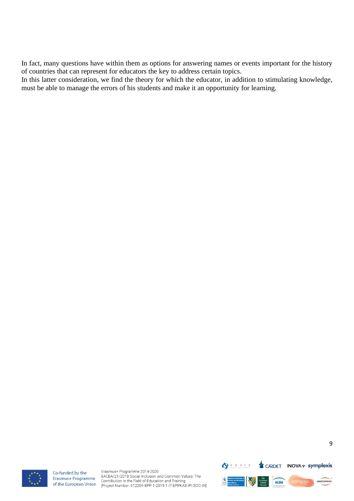In fact, many questions have within them as options for answering names or events important for the history of countries that can represent for educators the key to address certain topics.

<span id="page-8-0"></span>In this latter consideration, we find the theory for which the educator, in addition to stimulating knowledge, must be able to manage the errors of his students and make it an opportunity for learning.



Co-funded by the Erasmus+ Programme of the European Union

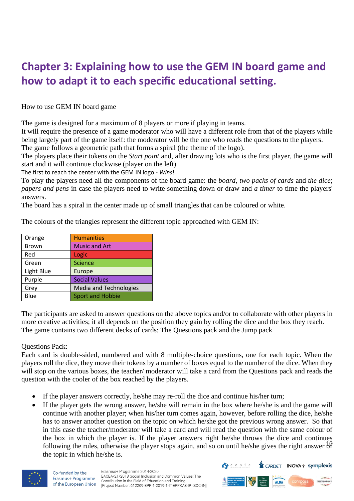### **Chapter 3: Explaining how to use the GEM IN board game and how to adapt it to each specific educational setting.**

#### How to use GEM IN board game

The game is designed for a maximum of 8 players or more if playing in teams.

It will require the presence of a game moderator who will have a different role from that of the players while being largely part of the game itself: the moderator will be the one who reads the questions to the players. The game follows a geometric path that forms a spiral (the theme of the logo).

The players place their tokens on the *Start point* and, after drawing lots who is the first player, the game will

start and it will continue clockwise (player on the left).

The first to reach the center with the GEM IN logo - *Wins*!

To play the players need all the components of the board game: the *board, two packs of cards* and *the dice*; *papers and pens* in case the players need to write something down or draw and *a timer* to time the players' answers.

The board has a spiral in the center made up of small triangles that can be coloured or white.

The colours of the triangles represent the different topic approached with GEM IN:

| Orange       | <b>Humanities</b>             |
|--------------|-------------------------------|
| <b>Brown</b> | <b>Music and Art</b>          |
| Red          | Logic                         |
| Green        | <b>Science</b>                |
| Light Blue   | Europe                        |
| Purple       | <b>Social Values</b>          |
| Grey         | <b>Media and Technologies</b> |
| Blue         | <b>Sport and Hobbie</b>       |

The participants are asked to answer questions on the above topics and/or to collaborate with other players in more creative activities; it all depends on the position they gain by rolling the dice and the box they reach. The game contains two different decks of cards: The Questions pack and the Jump pack

#### Questions Pack:

Each card is double-sided, numbered and with 8 multiple-choice questions, one for each topic. When the players roll the dice, they move their tokens by a number of boxes equal to the number of the dice. When they will stop on the various boxes, the teacher/ moderator will take a card from the Questions pack and reads the question with the cooler of the box reached by the players.

- If the player answers correctly, he/she may re-roll the dice and continue his/her turn;
- following the rules, otherwise the player stops again, and so on until he/she gives the right answer  $\frac{10}{9}$ • If the player gets the wrong answer, he/she will remain in the box where he/she is and the game will continue with another player; when his/her turn comes again, however, before rolling the dice, he/she has to answer another question on the topic on which he/she got the previous wrong answer. So that in this case the teacher/moderator will take a card and will read the question with the same colour of the box in which the player is. If the player answers right he/she throws the dice and continues the topic in which he/she is.



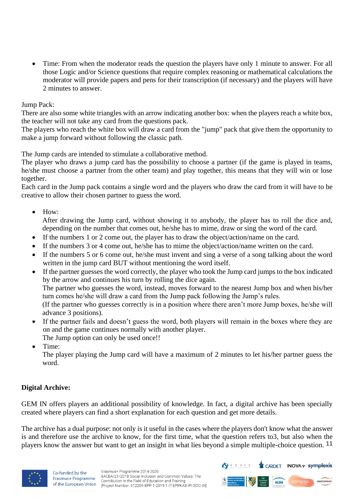• Time: From when the moderator reads the question the players have only 1 minute to answer. For all those Logic and/or Science questions that require complex reasoning or mathematical calculations the moderator will provide papers and pens for their transcription (if necessary) and the players will have 2 minutes to answer.

#### Jump Pack:

There are also some white triangles with an arrow indicating another box: when the players reach a white box, the teacher will not take any card from the questions pack.

The players who reach the white box will draw a card from the "jump" pack that give them the opportunity to make a jump forward without following the classic path.

The Jump cards are intended to stimulate a collaborative method.

The player who draws a jump card has the possibility to choose a partner (if the game is played in teams, he/she must choose a partner from the other team) and play together, this means that they will win or lose together.

Each card in the Jump pack contains a single word and the players who draw the card from it will have to be creative to allow their chosen partner to guess the word.

#### • How:

After drawing the Jump card, without showing it to anybody, the player has to roll the dice and, depending on the number that comes out, he/she has to mime, draw or sing the word of the card.

- If the numbers 1 or 2 come out, the player has to draw the object/action/name on the card.
- If the numbers 3 or 4 come out, he/she has to mime the object/action/name written on the card.
- If the numbers 5 or 6 come out, he/she must invent and sing a verse of a song talking about the word written in the jump card BUT without mentioning the word itself.
- If the partner guesses the word correctly, the player who took the Jump card jumps to the box indicated by the arrow and continues his turn by rolling the dice again. The partner who guesses the word, instead, moves forward to the nearest Jump box and when his/her turn comes he/she will draw a card from the Jump pack following the Jump's rules.

(If the partner who guesses correctly is in a position where there aren't more Jump boxes, he/she will advance 3 positions).

• If the partner fails and doesn't guess the word, both players will remain in the boxes where they are on and the game continues normally with another player.

The Jump option can only be used once!!

• Time:

The player playing the Jump card will have a maximum of 2 minutes to let his/her partner guess the word.

#### **Digital Archive:**

GEM IN offers players an additional possibility of knowledge. In fact, a digital archive has been specially created where players can find a short explanation for each question and get more details.

players know the answer but want to get an insight in what lies beyond a simple multiple-choice question. 11 The archive has a dual purpose: not only is it useful in the cases where the players don't know what the answer is and therefore use the archive to know, for the first time, what the question refers to3, but also when the



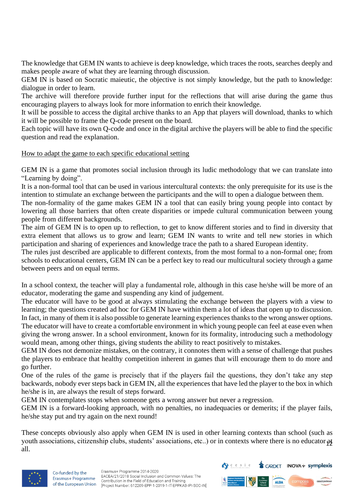The knowledge that GEM IN wants to achieve is deep knowledge, which traces the roots, searches deeply and makes people aware of what they are learning through discussion.

GEM IN is based on Socratic maieutic, the objective is not simply knowledge, but the path to knowledge: dialogue in order to learn.

The archive will therefore provide further input for the reflections that will arise during the game thus encouraging players to always look for more information to enrich their knowledge.

It will be possible to access the digital archive thanks to an App that players will download, thanks to which it will be possible to frame the Q-code present on the board.

Each topic will have its own Q-code and once in the digital archive the players will be able to find the specific question and read the explanation.

#### How to adapt the game to each specific educational setting

GEM IN is a game that promotes social inclusion through its ludic methodology that we can translate into "Learning by doing".

It is a non-formal tool that can be used in various intercultural contexts: the only prerequisite for its use is the intention to stimulate an exchange between the participants and the will to open a dialogue between them.

The non-formality of the game makes GEM IN a tool that can easily bring young people into contact by lowering all those barriers that often create disparities or impede cultural communication between young people from different backgrounds.

The aim of GEM IN is to open up to reflection, to get to know different stories and to find in diversity that extra element that allows us to grow and learn; GEM IN wants to write and tell new stories in which participation and sharing of experiences and knowledge trace the path to a shared European identity.

The rules just described are applicable to different contexts, from the most formal to a non-formal one; from schools to educational centers, GEM IN can be a perfect key to read our multicultural society through a game between peers and on equal terms.

In a school context, the teacher will play a fundamental role, although in this case he/she will be more of an educator, moderating the game and suspending any kind of judgement.

The educator will have to be good at always stimulating the exchange between the players with a view to learning; the questions created ad hoc for GEM IN have within them a lot of ideas that open up to discussion. In fact, in many of them it is also possible to generate learning experiences thanks to the wrong answer options. The educator will have to create a comfortable environment in which young people can feel at ease even when giving the wrong answer. In a school environment, known for its formality, introducing such a methodology would mean, among other things, giving students the ability to react positively to mistakes.

GEM IN does not demonize mistakes, on the contrary, it connotes them with a sense of challenge that pushes the players to embrace that healthy competition inherent in games that will encourage them to do more and go further.

One of the rules of the game is precisely that if the players fail the questions, they don't take any step backwards, nobody ever steps back in GEM IN, all the experiences that have led the player to the box in which he/she is in, are always the result of steps forward.

GEM IN contemplates stops when someone gets a wrong answer but never a regression.

GEM IN is a forward-looking approach, with no penalties, no inadequacies or demerits; if the player fails, he/she stay put and try again on the next round!

youth associations, citizenship clubs, students' associations, etc..) or in contexts where there is no educator  $\frac{31}{2}$ These concepts obviously also apply when GEM IN is used in other learning contexts than school (such as all.



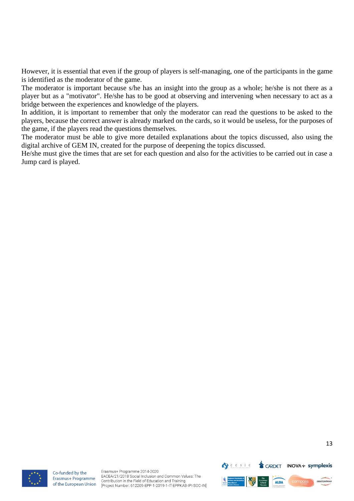However, it is essential that even if the group of players is self-managing, one of the participants in the game is identified as the moderator of the game.

The moderator is important because s/he has an insight into the group as a whole; he/she is not there as a player but as a "motivator". He/she has to be good at observing and intervening when necessary to act as a bridge between the experiences and knowledge of the players.

In addition, it is important to remember that only the moderator can read the questions to be asked to the players, because the correct answer is already marked on the cards, so it would be useless, for the purposes of the game, if the players read the questions themselves.

The moderator must be able to give more detailed explanations about the topics discussed, also using the digital archive of GEM IN, created for the purpose of deepening the topics discussed.

He/she must give the times that are set for each question and also for the activities to be carried out in case a Jump card is played.



Co-funded by the Erasmus+ Programme of the European Union

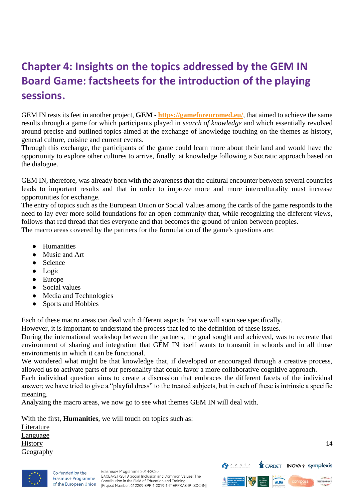### <span id="page-13-0"></span>**Chapter 4: Insights on the topics addressed by the GEM IN Board Game: factsheets for the introduction of the playing sessions.**

GEM IN rests its feet in another project, **GEM - <https://gameforeuromed.eu/>**, that aimed to achieve the same results through a game for which participants played in *search of knowledge* and which essentially revolved around precise and outlined topics aimed at the exchange of knowledge touching on the themes as history, general culture, cuisine and current events.

Through this exchange, the participants of the game could learn more about their land and would have the opportunity to explore other cultures to arrive, finally, at knowledge following a Socratic approach based on the dialogue.

GEM IN, therefore, was already born with the awareness that the cultural encounter between several countries leads to important results and that in order to improve more and more interculturality must increase opportunities for exchange.

The entry of topics such as the European Union or Social Values among the cards of the game responds to the need to lay ever more solid foundations for an open community that, while recognizing the different views, follows that red thread that ties everyone and that becomes the ground of union between peoples.

The macro areas covered by the partners for the formulation of the game's questions are:

- Humanities
- Music and Art
- Science
- Logic
- Europe
- Social values
- Media and Technologies
- Sports and Hobbies

Each of these macro areas can deal with different aspects that we will soon see specifically.

However, it is important to understand the process that led to the definition of these issues.

During the international workshop between the partners, the goal sought and achieved, was to recreate that environment of sharing and integration that GEM IN itself wants to transmit in schools and in all those environments in which it can be functional.

We wondered what might be that knowledge that, if developed or encouraged through a creative process, allowed us to activate parts of our personality that could favor a more collaborative cognitive approach.

Each individual question aims to create a discussion that embraces the different facets of the individual answer; we have tried to give a "playful dress" to the treated subjects, but in each of these is intrinsic a specific meaning.

Analyzing the macro areas, we now go to see what themes GEM IN will deal with.

With the first, **Humanities**, we will touch on topics such as: Literature

Language History **Geography** 



Co-funded by the Erasmus+ Programme of the European Union

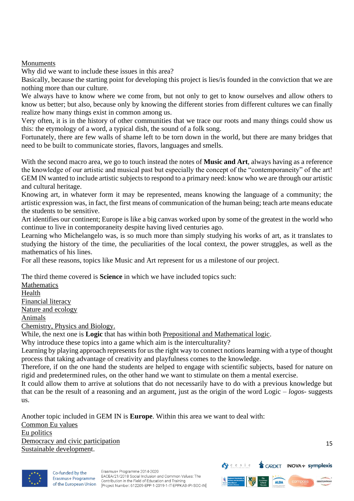Monuments

Why did we want to include these issues in this area?

Basically, because the starting point for developing this project is lies/is founded in the conviction that we are nothing more than our culture.

We always have to know where we come from, but not only to get to know ourselves and allow others to know us better; but also, because only by knowing the different stories from different cultures we can finally realize how many things exist in common among us.

Very often, it is in the history of other communities that we trace our roots and many things could show us this: the etymology of a word, a typical dish, the sound of a folk song.

Fortunately, there are few walls of shame left to be torn down in the world, but there are many bridges that need to be built to communicate stories, flavors, languages and smells.

With the second macro area, we go to touch instead the notes of **Music and Art**, always having as a reference the knowledge of our artistic and musical past but especially the concept of the "contemporaneity" of the art! GEM IN wanted to include artistic subjects to respond to a primary need: know who we are through our artistic and cultural heritage.

Knowing art, in whatever form it may be represented, means knowing the language of a community; the artistic expression was, in fact, the first means of communication of the human being; teach arte means educate the students to be sensitive.

Art identifies our continent; Europe is like a big canvas worked upon by some of the greatest in the world who continue to live in contemporaneity despite having lived centuries ago.

Learning who Michelangelo was, is so much more than simply studying his works of art, as it translates to studying the history of the time, the peculiarities of the local context, the power struggles, as well as the mathematics of his lines.

For all these reasons, topics like Music and Art represent for us a milestone of our project.

The third theme covered is **Science** in which we have included topics such:

Mathematics Health Financial literacy Nature and ecology Animals Chemistry, Physics and Biology.

While, the next one is **Logic** that has within both Prepositional and Mathematical logic.

Why introduce these topics into a game which aim is the interculturality?

Learning by playing approach represents for us the right way to connect notions learning with a type of thought process that taking advantage of creativity and playfulness comes to the knowledge.

Therefore, if on the one hand the students are helped to engage with scientific subjects, based for nature on rigid and predetermined rules, on the other hand we want to stimulate on them a mental exercise.

It could allow them to arrive at solutions that do not necessarily have to do with a previous knowledge but that can be the result of a reasoning and an argument, just as the origin of the word Logic – *logos*- suggests us.

Another topic included in GEM IN is **Europe**. Within this area we want to deal with: Common Eu values Eu politics Democracy and civic participation Sustainable development.



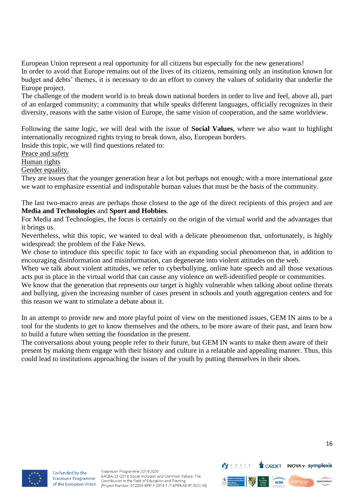European Union represent a real opportunity for all citizens but especially for the new generations! In order to avoid that Europe remains out of the lives of its citizens, remaining only an institution known for budget and debts' themes, it is necessary to do an effort to convey the values of solidarity that underlie the Europe project.

The challenge of the modern world is to break down national borders in order to live and feel, above all, part of an enlarged community; a community that while speaks different languages, officially recognizes in their diversity, reasons with the same vision of Europe, the same vision of cooperation, and the same worldview.

Following the same logic, we will deal with the issue of **Social Values**, where we also want to highlight internationally recognized rights trying to break down, also, European borders.

Inside this topic, we will find questions related to:

Peace and safety

Human rights

Gender equality.

They are issues that the younger generation hear a lot but perhaps not enough; with a more international gaze we want to emphasize essential and indisputable human values that must be the basis of the community.

The last two-macro areas are perhaps those closest to the age of the direct recipients of this project and are **Media and Technologies** and **Sport and Hobbies**.

For Media and Technologies, the focus is certainly on the origin of the virtual world and the advantages that it brings us.

Nevertheless, whit this topic, we wanted to deal with a delicate phenomenon that, unfortunately, is highly widespread: the problem of the Fake News.

We chose to introduce this specific topic to face with an expanding social phenomenon that, in addition to encouraging disinformation and misinformation, can degenerate into violent attitudes on the web.

When we talk about violent attitudes, we refer to cyberbullying, online hate speech and all those vexatious acts put in place in the virtual world that can cause any violence on well-identified people or communities.

We know that the generation that represents our target is highly vulnerable when talking about online threats and bullying, given the increasing number of cases present in schools and youth aggregation centers and for this reason we want to stimulate a debate about it.

In an attempt to provide new and more playful point of view on the mentioned issues, GEM IN aims to be a tool for the students to get to know themselves and the others, to be more aware of their past, and learn how to build a future when setting the foundation in the present.

The conversations about young people refer to their future, but GEM IN wants to make them aware of their present by making them engage with their history and culture in a relatable and appealing manner. Thus, this could lead to institutions approaching the issues of the youth by putting themselves in their shoes.



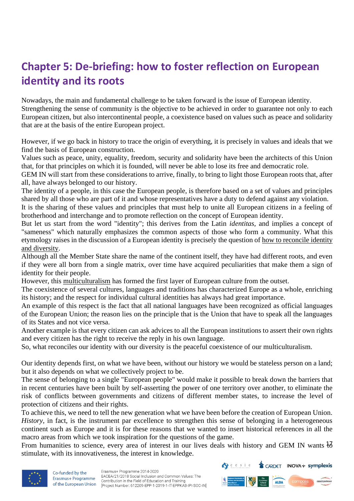## <span id="page-16-0"></span>**Chapter 5: De-briefing: how to foster reflection on European identity and its roots**

Nowadays, the main and fundamental challenge to be taken forward is the issue of European identity. Strengthening the sense of community is the objective to be achieved in order to guarantee not only to each European citizen, but also intercontinental people, a coexistence based on values such as peace and solidarity that are at the basis of the entire European project.

However, if we go back in history to trace the origin of everything, it is precisely in values and ideals that we find the basis of European construction.

Values such as peace, unity, equality, freedom, security and solidarity have been the architects of this Union that, for that principles on which it is founded, will never be able to lose its free and democratic role.

GEM IN will start from these considerations to arrive, finally, to bring to light those European roots that, after all, have always belonged to our history.

The identity of a people, in this case the European people, is therefore based on a set of values and principles shared by all those who are part of it and whose representatives have a duty to defend against any violation.

It is the sharing of these values and principles that must help to unite all European citizens in a feeling of brotherhood and interchange and to promote reflection on the concept of European identity.

But let us start from the word "identity"; this derives from the Latin *identitas,* and implies a concept of "sameness" which naturally emphasizes the common aspects of those who form a community. What this etymology raises in the discussion of a European identity is precisely the question of how to reconcile identity and diversity.

Although all the Member State share the name of the continent itself, they have had different roots, and even if they were all born from a single matrix, over time have acquired peculiarities that make them a sign of identity for their people.

However, this multiculturalism has formed the first layer of European culture from the outset.

The coexistence of several cultures, languages and traditions has characterized Europe as a whole, enriching its history; and the respect for individual cultural identities has always had great importance.

An example of this respect is the fact that all national languages have been recognized as official languages of the European Union; the reason lies on the principle that is the Union that have to speak all the languages of its States and not vice versa.

Another example is that every citizen can ask advices to all the European institutions to assert their own rights and every citizen has the right to receive the reply in his own language.

So, what reconciles our identity with our diversity is the peaceful coexistence of our multiculturalism.

Our identity depends first, on what we have been, without our history we would be stateless person on a land; but it also depends on what we collectively project to be.

The sense of belonging to a single "European people" would make it possible to break down the barriers that in recent centuries have been built by self-asserting the power of one territory over another, to eliminate the risk of conflicts between governments and citizens of different member states, to increase the level of protection of citizens and their rights.

To achieve this, we need to tell the new generation what we have been before the creation of European Union. *History*, in fact, is the instrument par excellence to strengthen this sense of belonging in a heterogeneous continent such as Europe and it is for these reasons that we wanted to insert historical references in all the macro areas from which we took inspiration for the questions of the game.

From humanities to science, every area of interest in our lives deals with history and GEM IN wants  $\frac{1}{6}$ stimulate, with its innovativeness, the interest in knowledge.



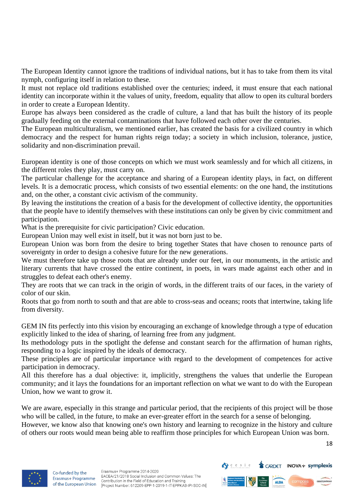The European Identity cannot ignore the traditions of individual nations, but it has to take from them its vital nymph, configuring itself in relation to these.

It must not replace old traditions established over the centuries; indeed, it must ensure that each national identity can incorporate within it the values of unity, freedom, equality that allow to open its cultural borders in order to create a European Identity.

Europe has always been considered as the cradle of culture, a land that has built the history of its people gradually feeding on the external contaminations that have followed each other over the centuries.

The European multiculturalism, we mentioned earlier, has created the basis for a civilized country in which democracy and the respect for human rights reign today; a society in which inclusion, tolerance, justice, solidarity and non-discrimination prevail.

European identity is one of those concepts on which we must work seamlessly and for which all citizens, in the different roles they play, must carry on.

The particular challenge for the acceptance and sharing of a European identity plays, in fact, on different levels. It is a democratic process, which consists of two essential elements: on the one hand, the institutions and, on the other, a constant civic activism of the community.

By leaving the institutions the creation of a basis for the development of collective identity, the opportunities that the people have to identify themselves with these institutions can only be given by civic commitment and participation.

What is the prerequisite for civic participation? Civic education.

European Union may well exist in itself, but it was not born just to be.

European Union was born from the desire to bring together States that have chosen to renounce parts of sovereignty in order to design a cohesive future for the new generations.

We must therefore take up those roots that are already under our feet, in our monuments, in the artistic and literary currents that have crossed the entire continent, in poets, in wars made against each other and in struggles to defeat each other's enemy.

They are roots that we can track in the origin of words, in the different traits of our faces, in the variety of color of our skin.

Roots that go from north to south and that are able to cross-seas and oceans; roots that intertwine, taking life from diversity.

GEM IN fits perfectly into this vision by encouraging an exchange of knowledge through a type of education explicitly linked to the idea of sharing, of learning free from any judgment.

Its methodology puts in the spotlight the defense and constant search for the affirmation of human rights, responding to a logic inspired by the ideals of democracy.

These principles are of particular importance with regard to the development of competences for active participation in democracy.

All this therefore has a dual objective: it, implicitly, strengthens the values that underlie the European community; and it lays the foundations for an important reflection on what we want to do with the European Union, how we want to grow it.

We are aware, especially in this strange and particular period, that the recipients of this project will be those who will be called, in the future, to make an ever-greater effort in the search for a sense of belonging. However, we know also that knowing one's own history and learning to recognize in the history and culture of others our roots would mean being able to reaffirm those principles for which European Union was born.

18